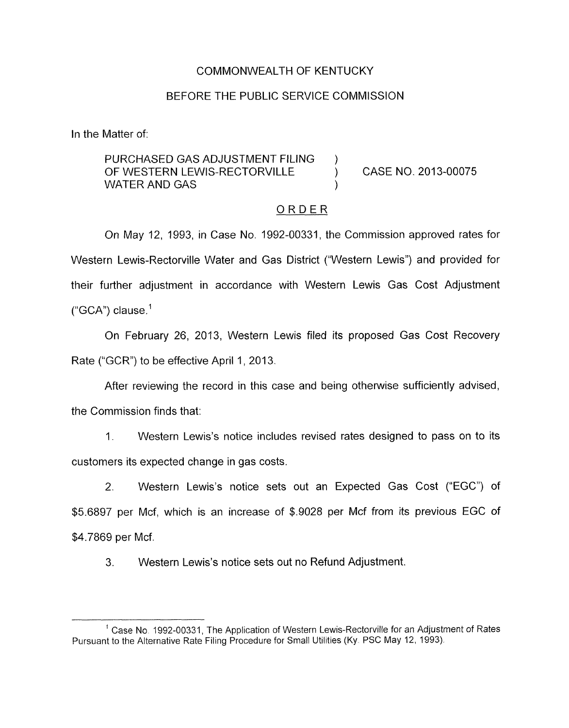## COMMONWEALTH OF KENTUCKY

### BEFORE THE PUBLIC SERVICE COMMISSION

In the Matter of:

PURCHASED GAS ADJUSTMENT FILING ) OF WESTERN LEWIS-RECTORVILLE ) CASE NO. 2013-00075 WATER AND GAS

#### ORDER

On May 12, 1993, in Case No. 1992-00331, the Commission approved rates for Western Lewis-Rectorville Water and Gas District ("Western Lewis") and provided for their further adjustment in accordance with Western Lewis Gas Cost Adjustment  $("GCA")$  clause.<sup>1</sup>

On February 26, 2013, Western Lewis filed its proposed Gas Cost Recovery Rate ("GCR") to be effective April 1, 2013.

After reviewing the record in this case and being otherwise sufficiently advised,

the Commission finds that:

1. Western Lewis's notice includes revised rates designed to pass on to its customers its expected change in gas costs.

2. Western Lewis's notice sets out an Expected Gas Cost ("EGC") of \$5.6897 per Mcf, which is an increase of \$.go28 per Mcf from its previous EGC of \$4.7869 per Mcf.

3. Western Lewis's notice sets out no Refund Adjustment.

<sup>&</sup>lt;sup>1</sup> Case No. 1992-00331, The Application of Western Lewis-Rectorville for an Adjustment of Rates Pursuant to the Alternative Rate Filing Procedure for Small Utilities (Ky. PSC May 12, 1993).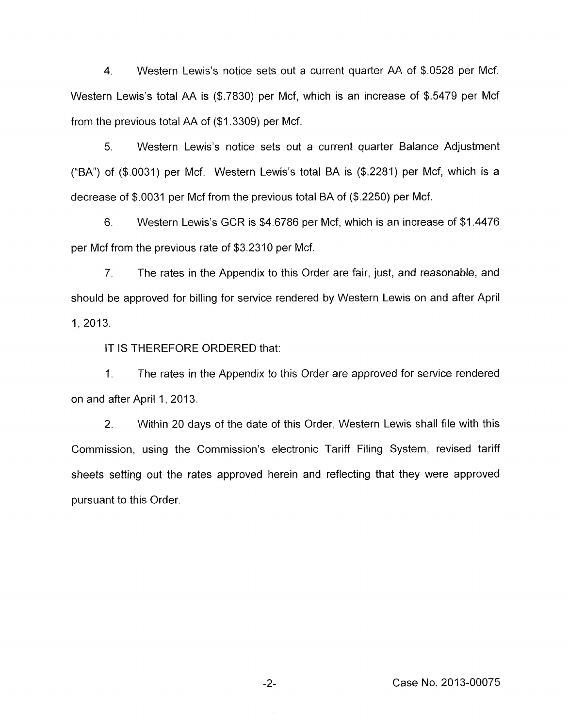4. Western Lewis's notice sets out a current quarter AA of \$0528 per Mcf. Western Lewis's total AA is (\$.7830) per Mcf, which is an increase of \$.5479 per Mcf from the previous total AA of (\$1.3309) per Mcf.

*5.* Western Lewis's notice sets out a current quarter Balance Adjustment (%A") of (\$.0031) per Mcf. Western Lewis's total BA is (\$.2281) per Mcf, which is a decrease of \$.OQ31 per Mcf from the previous total BA of (\$.2250) per Mcf.

6. Western Lewis's GCR is \$4.6786 per Mcf, which is an increase of \$1.4476 per Mcf from the previous rate of \$3.2310 per Mcf.

7. The rates in the Appendix to this Order are fair, just, and reasonable, and should be approved for billing for service rendered by Western Lewis on and after April 1, 2013.

IT IS THEREFORE ORDERED that:

1. The rates in the Appendix to this Order are approved for service rendered on and after April 1, 2013.

2. Within 20 days of the date of this Order, Western Lewis shall file with this Commission, using the Commission's electronic Tariff Filing System, revised tariff sheets setting out the rates approved herein and reflecting that they were approved pursuant to this Order.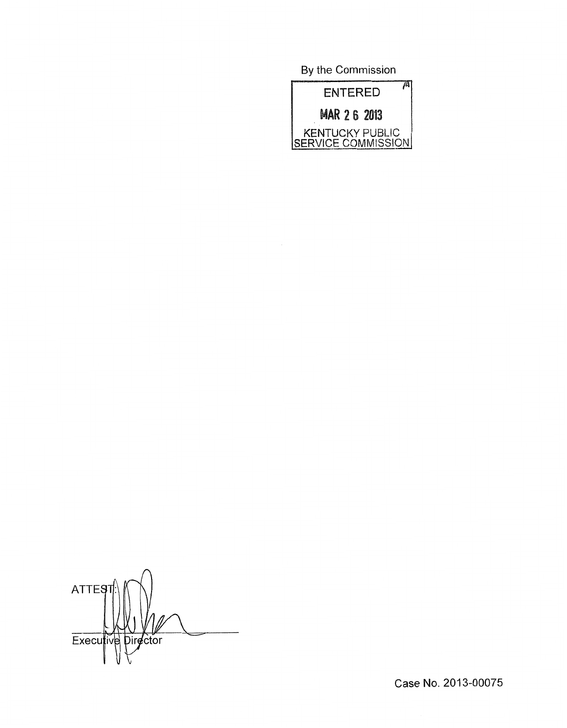By the Commission



 $\bigcap$ **ATTES** Executive Director

Case No. 2013-00075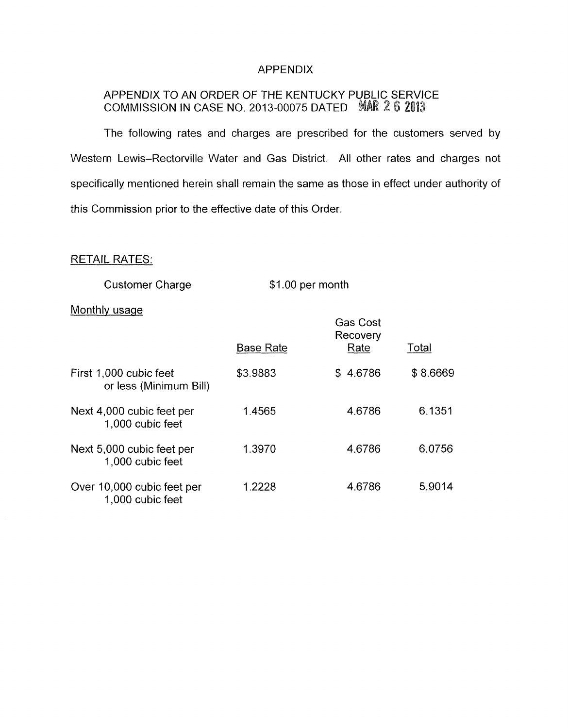## APPENDIX

# APPENDIX TO AN ORDER OF THE KENTUCKY PUBLIC SERVICE  $\textsf{COMM}{}$ ISSION IN CASE NO. 2013-00075 DATED  $\textsf{MAR}$   $\textsf{Z}$   $\textsf{5}$   $\textsf{2013}$

The following rates and charges are prescribed for the customers served by Western Lewis-Rectorville Water and Gas District. All other rates and charges not specifically mentioned herein shall remain the same as those in effect under authority of this Commission prior to the effective date of this Order.

## RETAIL RATES:

Customer Charge

\$1.00 per month

Gas Cost

#### Monthly usage

|                                                  | <b>Base Rate</b> | Gas Cost<br>Recovery<br>Rate | Total    |
|--------------------------------------------------|------------------|------------------------------|----------|
| First 1,000 cubic feet<br>or less (Minimum Bill) | \$3.9883         | \$4.6786                     | \$8.6669 |
| Next 4,000 cubic feet per<br>1,000 cubic feet    | 1.4565           | 4.6786                       | 6.1351   |
| Next 5,000 cubic feet per<br>1,000 cubic feet    | 1.3970           | 4.6786                       | 6.0756   |
| Over 10,000 cubic feet per<br>1,000 cubic feet   | 1.2228           | 4.6786                       | 5.9014   |